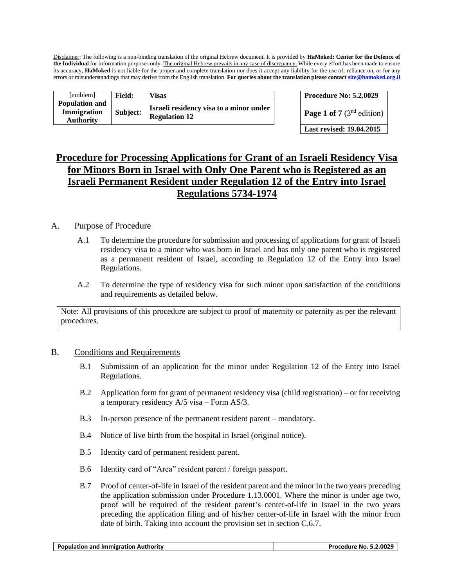Disclaimer: The following is a non-binding translation of the original Hebrew document. It is provided by **HaMoked: Center for the Defence of the Individual** for information purposes only. The original Hebrew prevails in any case of discrepancy. While every effort has been made to ensure its accuracy, **HaMoked** is not liable for the proper and complete translation nor does it accept any liability for the use of, reliance on, or for any errors or misunderstandings that may derive from the English translation. **For queries about the translation please contac[t site@hamoked.org.il](mailto:site@hamoked.org.il)**

| [emblem]                                                 | <b>Field:</b> | Visas                                                           | <b>Procedure No: 5.2.0029</b>       |
|----------------------------------------------------------|---------------|-----------------------------------------------------------------|-------------------------------------|
| <b>Population and</b><br>Immigration<br><b>Authority</b> | Subject:      | Israeli residency visa to a minor under<br><b>Regulation 12</b> | <b>Page 1 of 7</b> ( $3nd$ edition) |

| <b>Procedure No: 5.2.0029</b> |
|-------------------------------|
|-------------------------------|

**Last revised: 19.04.2015**

# **Procedure for Processing Applications for Grant of an Israeli Residency Visa for Minors Born in Israel with Only One Parent who is Registered as an Israeli Permanent Resident under Regulation 12 of the Entry into Israel Regulations 5734-1974**

### A. Purpose of Procedure

- A.1 To determine the procedure for submission and processing of applications for grant of Israeli residency visa to a minor who was born in Israel and has only one parent who is registered as a permanent resident of Israel, according to Regulation 12 of the Entry into Israel Regulations.
- A.2 To determine the type of residency visa for such minor upon satisfaction of the conditions and requirements as detailed below.

Note: All provisions of this procedure are subject to proof of maternity or paternity as per the relevant procedures.

#### B. Conditions and Requirements

- B.1 Submission of an application for the minor under Regulation 12 of the Entry into Israel Regulations.
- B.2 Application form for grant of permanent residency visa (child registration) or for receiving a temporary residency A/5 visa – Form AS/3.
- B.3 In-person presence of the permanent resident parent mandatory.
- B.4 Notice of live birth from the hospital in Israel (original notice).
- B.5 Identity card of permanent resident parent.
- B.6 Identity card of "Area" resident parent / foreign passport.
- B.7 Proof of center-of-life in Israel of the resident parent and the minor in the two years preceding the application submission under Procedure 1.13.0001. Where the minor is under age two, proof will be required of the resident parent's center-of-life in Israel in the two years preceding the application filing and of his/her center-of-life in Israel with the minor from date of birth. Taking into account the provision set in section C.6.7.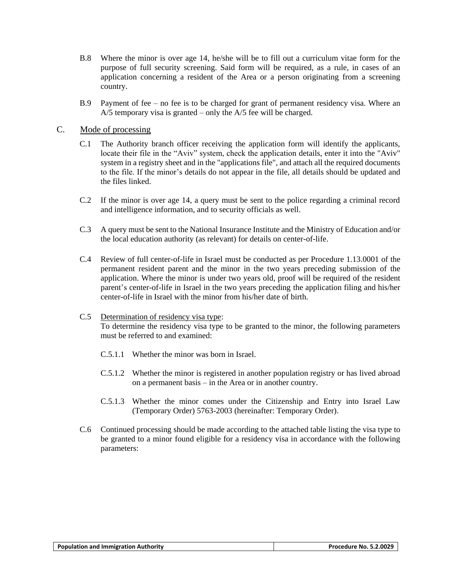- B.8 Where the minor is over age 14, he/she will be to fill out a curriculum vitae form for the purpose of full security screening. Said form will be required, as a rule, in cases of an application concerning a resident of the Area or a person originating from a screening country.
- B.9 Payment of fee no fee is to be charged for grant of permanent residency visa. Where an A/5 temporary visa is granted – only the A/5 fee will be charged.

#### C. Mode of processing

- C.1 The Authority branch officer receiving the application form will identify the applicants, locate their file in the "Aviv" system, check the application details, enter it into the "Aviv" system in a registry sheet and in the "applications file", and attach all the required documents to the file. If the minor's details do not appear in the file, all details should be updated and the files linked.
- C.2 If the minor is over age 14, a query must be sent to the police regarding a criminal record and intelligence information, and to security officials as well.
- C.3 A query must be sent to the National Insurance Institute and the Ministry of Education and/or the local education authority (as relevant) for details on center-of-life.
- C.4 Review of full center-of-life in Israel must be conducted as per Procedure 1.13.0001 of the permanent resident parent and the minor in the two years preceding submission of the application. Where the minor is under two years old, proof will be required of the resident parent's center-of-life in Israel in the two years preceding the application filing and his/her center-of-life in Israel with the minor from his/her date of birth.
- C.5 Determination of residency visa type: To determine the residency visa type to be granted to the minor, the following parameters must be referred to and examined:
	- C.5.1.1 Whether the minor was born in Israel.
	- C.5.1.2 Whether the minor is registered in another population registry or has lived abroad on a permanent basis – in the Area or in another country.
	- C.5.1.3 Whether the minor comes under the Citizenship and Entry into Israel Law (Temporary Order) 5763-2003 (hereinafter: Temporary Order).
- C.6 Continued processing should be made according to the attached table listing the visa type to be granted to a minor found eligible for a residency visa in accordance with the following parameters: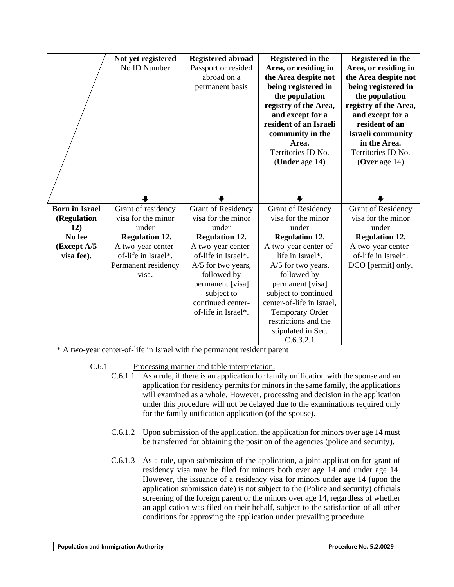| Not yet registered<br>No ID Number | <b>Registered abroad</b><br>Passport or resided<br>abroad on a<br>permanent basis | Registered in the<br>Area, or residing in<br>the Area despite not<br>being registered in<br>the population<br>registry of the Area,<br>and except for a<br>resident of an Israeli<br>community in the<br>Area.<br>Territories ID No.<br>(Under age 14) | Registered in the<br>Area, or residing in<br>the Area despite not<br>being registered in<br>the population<br>registry of the Area,<br>and except for a<br>resident of an<br><b>Israeli</b> community<br>in the Area.<br>Territories ID No.<br>(Over age $14$ ) |
|------------------------------------|-----------------------------------------------------------------------------------|--------------------------------------------------------------------------------------------------------------------------------------------------------------------------------------------------------------------------------------------------------|-----------------------------------------------------------------------------------------------------------------------------------------------------------------------------------------------------------------------------------------------------------------|
|                                    |                                                                                   |                                                                                                                                                                                                                                                        |                                                                                                                                                                                                                                                                 |
|                                    |                                                                                   |                                                                                                                                                                                                                                                        | <b>Grant of Residency</b>                                                                                                                                                                                                                                       |
| visa for the minor                 | visa for the minor                                                                | visa for the minor                                                                                                                                                                                                                                     | visa for the minor                                                                                                                                                                                                                                              |
| under                              | under                                                                             | under                                                                                                                                                                                                                                                  | under                                                                                                                                                                                                                                                           |
| <b>Regulation 12.</b>              | <b>Regulation 12.</b>                                                             | <b>Regulation 12.</b>                                                                                                                                                                                                                                  | <b>Regulation 12.</b>                                                                                                                                                                                                                                           |
| A two-year center-                 | A two-year center-                                                                | A two-year center-of-                                                                                                                                                                                                                                  | A two-year center-                                                                                                                                                                                                                                              |
| of-life in Israel*.                | of-life in Israel*.                                                               | life in Israel*.                                                                                                                                                                                                                                       | of-life in Israel*.                                                                                                                                                                                                                                             |
|                                    | A/5 for two years,                                                                | A/5 for two years,                                                                                                                                                                                                                                     | DCO [permit] only.                                                                                                                                                                                                                                              |
| visa.                              |                                                                                   |                                                                                                                                                                                                                                                        |                                                                                                                                                                                                                                                                 |
|                                    |                                                                                   |                                                                                                                                                                                                                                                        |                                                                                                                                                                                                                                                                 |
|                                    |                                                                                   |                                                                                                                                                                                                                                                        |                                                                                                                                                                                                                                                                 |
|                                    |                                                                                   |                                                                                                                                                                                                                                                        |                                                                                                                                                                                                                                                                 |
|                                    |                                                                                   |                                                                                                                                                                                                                                                        |                                                                                                                                                                                                                                                                 |
|                                    |                                                                                   |                                                                                                                                                                                                                                                        |                                                                                                                                                                                                                                                                 |
|                                    |                                                                                   |                                                                                                                                                                                                                                                        |                                                                                                                                                                                                                                                                 |
|                                    | Grant of residency<br>Permanent residency                                         | <b>Grant of Residency</b><br>followed by<br>permanent [visa]<br>subject to<br>continued center-<br>of-life in Israel*.                                                                                                                                 | <b>Grant of Residency</b><br>followed by<br>permanent [visa]<br>subject to continued<br>center-of-life in Israel,<br><b>Temporary Order</b><br>restrictions and the<br>stipulated in Sec.                                                                       |

\* A two-year center-of-life in Israel with the permanent resident parent

- C.6.1 Processing manner and table interpretation:
	- C.6.1.1 As a rule, if there is an application for family unification with the spouse and an application for residency permits for minors in the same family, the applications will examined as a whole. However, processing and decision in the application under this procedure will not be delayed due to the examinations required only for the family unification application (of the spouse).
	- C.6.1.2 Upon submission of the application, the application for minors over age 14 must be transferred for obtaining the position of the agencies (police and security).
	- C.6.1.3 As a rule, upon submission of the application, a joint application for grant of residency visa may be filed for minors both over age 14 and under age 14. However, the issuance of a residency visa for minors under age 14 (upon the application submission date) is not subject to the (Police and security) officials screening of the foreign parent or the minors over age 14, regardless of whether an application was filed on their behalf, subject to the satisfaction of all other conditions for approving the application under prevailing procedure.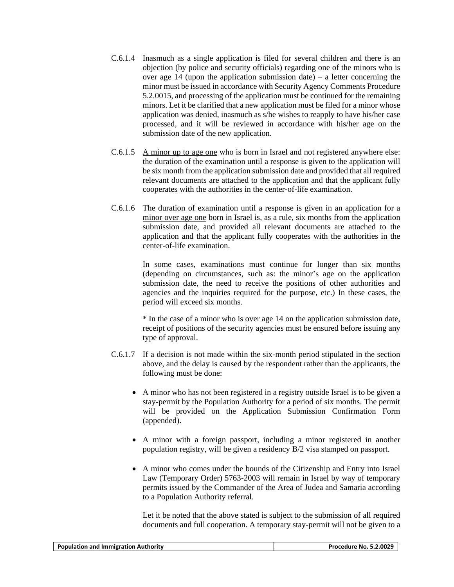- C.6.1.4 Inasmuch as a single application is filed for several children and there is an objection (by police and security officials) regarding one of the minors who is over age 14 (upon the application submission date) – a letter concerning the minor must be issued in accordance with Security Agency Comments Procedure 5.2.0015, and processing of the application must be continued for the remaining minors. Let it be clarified that a new application must be filed for a minor whose application was denied, inasmuch as s/he wishes to reapply to have his/her case processed, and it will be reviewed in accordance with his/her age on the submission date of the new application.
- C.6.1.5 A minor up to age one who is born in Israel and not registered anywhere else: the duration of the examination until a response is given to the application will be six month from the application submission date and provided that all required relevant documents are attached to the application and that the applicant fully cooperates with the authorities in the center-of-life examination.
- C.6.1.6 The duration of examination until a response is given in an application for a minor over age one born in Israel is, as a rule, six months from the application submission date, and provided all relevant documents are attached to the application and that the applicant fully cooperates with the authorities in the center-of-life examination.

In some cases, examinations must continue for longer than six months (depending on circumstances, such as: the minor's age on the application submission date, the need to receive the positions of other authorities and agencies and the inquiries required for the purpose, etc.) In these cases, the period will exceed six months.

\* In the case of a minor who is over age 14 on the application submission date, receipt of positions of the security agencies must be ensured before issuing any type of approval.

- C.6.1.7 If a decision is not made within the six-month period stipulated in the section above, and the delay is caused by the respondent rather than the applicants, the following must be done:
	- A minor who has not been registered in a registry outside Israel is to be given a stay-permit by the Population Authority for a period of six months. The permit will be provided on the Application Submission Confirmation Form (appended).
	- A minor with a foreign passport, including a minor registered in another population registry, will be given a residency B/2 visa stamped on passport.
	- A minor who comes under the bounds of the Citizenship and Entry into Israel Law (Temporary Order) 5763-2003 will remain in Israel by way of temporary permits issued by the Commander of the Area of Judea and Samaria according to a Population Authority referral.

Let it be noted that the above stated is subject to the submission of all required documents and full cooperation. A temporary stay-permit will not be given to a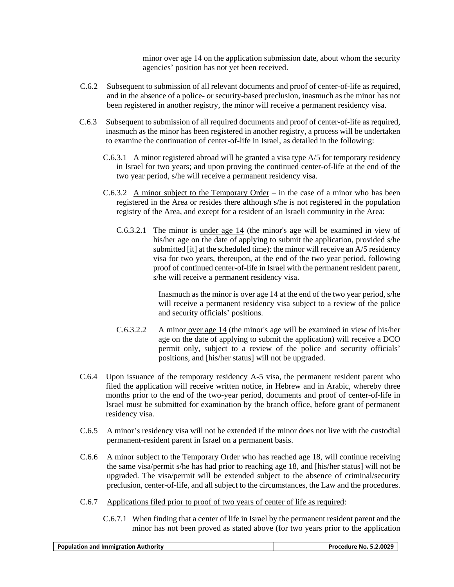minor over age 14 on the application submission date, about whom the security agencies' position has not yet been received.

- C.6.2 Subsequent to submission of all relevant documents and proof of center-of-life as required, and in the absence of a police- or security-based preclusion, inasmuch as the minor has not been registered in another registry, the minor will receive a permanent residency visa.
- C.6.3 Subsequent to submission of all required documents and proof of center-of-life as required, inasmuch as the minor has been registered in another registry, a process will be undertaken to examine the continuation of center-of-life in Israel, as detailed in the following:
	- C.6.3.1 A minor registered abroad will be granted a visa type A/5 for temporary residency in Israel for two years; and upon proving the continued center-of-life at the end of the two year period, s/he will receive a permanent residency visa.
	- C.6.3.2 A minor subject to the Temporary Order in the case of a minor who has been registered in the Area or resides there although s/he is not registered in the population registry of the Area, and except for a resident of an Israeli community in the Area:
		- C.6.3.2.1 The minor is under age 14 (the minor's age will be examined in view of his/her age on the date of applying to submit the application, provided s/he submitted [it] at the scheduled time): the minor will receive an A/5 residency visa for two years, thereupon, at the end of the two year period, following proof of continued center-of-life in Israel with the permanent resident parent, s/he will receive a permanent residency visa.

Inasmuch as the minor is over age 14 at the end of the two year period, s/he will receive a permanent residency visa subject to a review of the police and security officials' positions.

- C.6.3.2.2 A minor over age 14 (the minor's age will be examined in view of his/her age on the date of applying to submit the application) will receive a DCO permit only, subject to a review of the police and security officials' positions, and [his/her status] will not be upgraded.
- C.6.4 Upon issuance of the temporary residency A-5 visa, the permanent resident parent who filed the application will receive written notice, in Hebrew and in Arabic, whereby three months prior to the end of the two-year period, documents and proof of center-of-life in Israel must be submitted for examination by the branch office, before grant of permanent residency visa.
- C.6.5 A minor's residency visa will not be extended if the minor does not live with the custodial permanent-resident parent in Israel on a permanent basis.
- C.6.6 A minor subject to the Temporary Order who has reached age 18, will continue receiving the same visa/permit s/he has had prior to reaching age 18, and [his/her status] will not be upgraded. The visa/permit will be extended subject to the absence of criminal/security preclusion, center-of-life, and all subject to the circumstances, the Law and the procedures.
- C.6.7 Applications filed prior to proof of two years of center of life as required:
	- C.6.7.1 When finding that a center of life in Israel by the permanent resident parent and the minor has not been proved as stated above (for two years prior to the application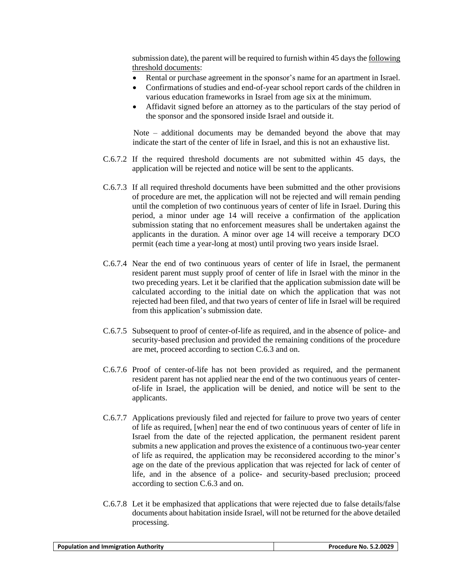submission date), the parent will be required to furnish within 45 days the following threshold documents:

- Rental or purchase agreement in the sponsor's name for an apartment in Israel.
- Confirmations of studies and end-of-year school report cards of the children in various education frameworks in Israel from age six at the minimum.
- Affidavit signed before an attorney as to the particulars of the stay period of the sponsor and the sponsored inside Israel and outside it.

Note – additional documents may be demanded beyond the above that may indicate the start of the center of life in Israel, and this is not an exhaustive list.

- C.6.7.2 If the required threshold documents are not submitted within 45 days, the application will be rejected and notice will be sent to the applicants.
- C.6.7.3 If all required threshold documents have been submitted and the other provisions of procedure are met, the application will not be rejected and will remain pending until the completion of two continuous years of center of life in Israel. During this period, a minor under age 14 will receive a confirmation of the application submission stating that no enforcement measures shall be undertaken against the applicants in the duration. A minor over age 14 will receive a temporary DCO permit (each time a year-long at most) until proving two years inside Israel.
- C.6.7.4 Near the end of two continuous years of center of life in Israel, the permanent resident parent must supply proof of center of life in Israel with the minor in the two preceding years. Let it be clarified that the application submission date will be calculated according to the initial date on which the application that was not rejected had been filed, and that two years of center of life in Israel will be required from this application's submission date.
- C.6.7.5 Subsequent to proof of center-of-life as required, and in the absence of police- and security-based preclusion and provided the remaining conditions of the procedure are met, proceed according to section C.6.3 and on.
- C.6.7.6 Proof of center-of-life has not been provided as required, and the permanent resident parent has not applied near the end of the two continuous years of centerof-life in Israel, the application will be denied, and notice will be sent to the applicants.
- C.6.7.7 Applications previously filed and rejected for failure to prove two years of center of life as required, [when] near the end of two continuous years of center of life in Israel from the date of the rejected application, the permanent resident parent submits a new application and proves the existence of a continuous two-year center of life as required, the application may be reconsidered according to the minor's age on the date of the previous application that was rejected for lack of center of life, and in the absence of a police- and security-based preclusion; proceed according to section C.6.3 and on.
- C.6.7.8 Let it be emphasized that applications that were rejected due to false details/false documents about habitation inside Israel, will not be returned for the above detailed processing.